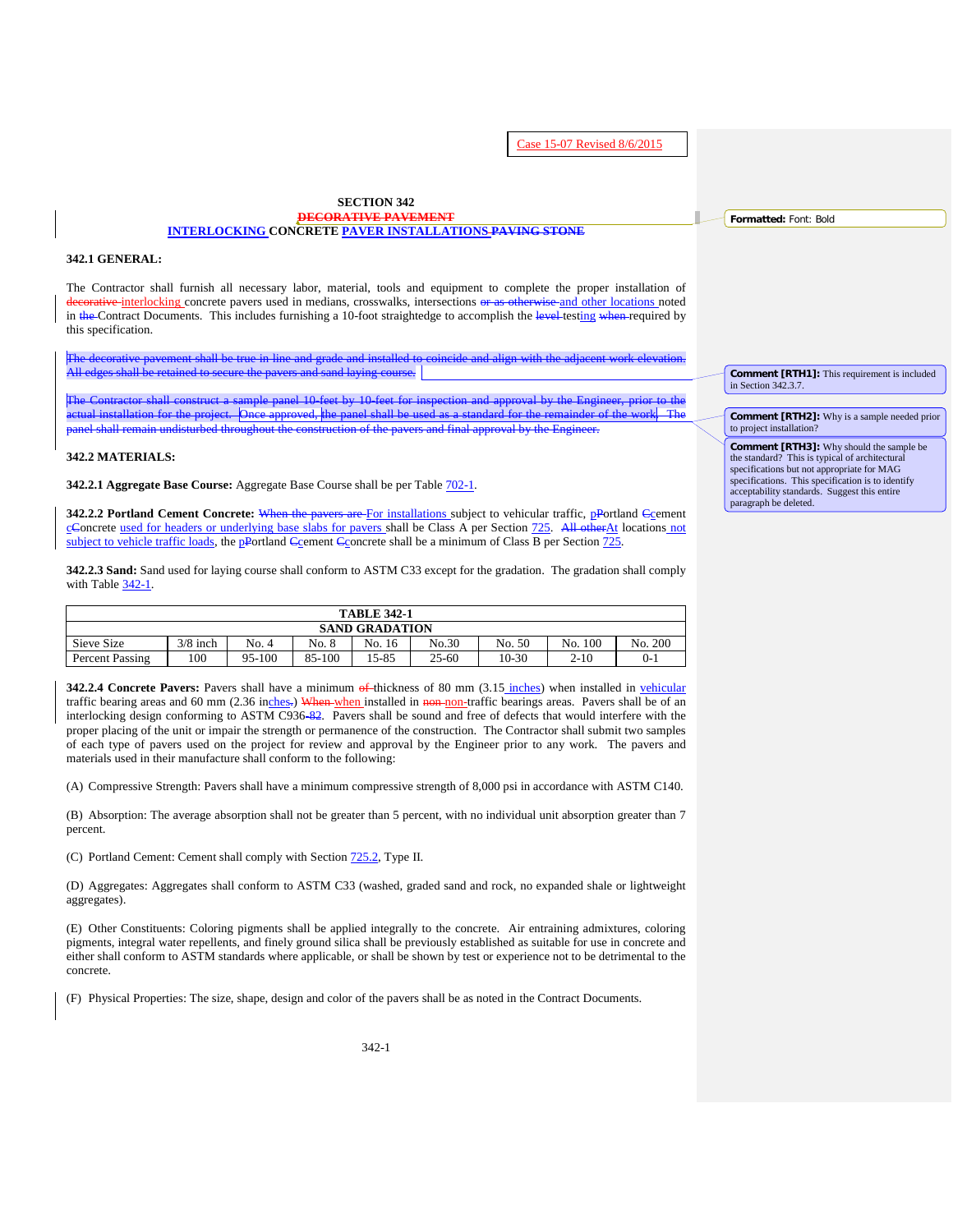Case 15-07 Revised 8/6/2015

#### **SECTION 342 DECORATIVE PAVEMENT INTERLOCKING CONCRETE PAVER INSTALLATIONS PAVING STONE**

#### **342.1 GENERAL:**

The Contractor shall furnish all necessary labor, material, tools and equipment to complete the proper installation of etative interlocking concrete pavers used in medians, crosswalks, intersections or as otherwise and other locations noted in the Contract Documents. This includes furnishing a 10-foot straightedge to accomplish the level-testing when required by this specification.

The decorative pavement shall be true in line and grade and installed to coincide and align with the adjacent work elevation. All edges shall be retained to secure the pavers and sand laying course.

The Contractor shall construct a sample panel 10-feet by 10-feet for inspection and approval by the Engineer, prior to the ual installation for the project. Once approved, the panel shall be used as a standard for the remainder of the work. The pair of the standard for the remainder of the work. The pair of the pair of the pair of the pair of panel shall remain undisturbed throughout the construction of the pavers and final approval by the Engineer.

#### **342.2 MATERIALS:**

**342.2.1 Aggregate Base Course:** Aggregate Base Course shall be per Table 702-1.

**342.2.2 Portland Cement Concrete:** When the pavers are For installations subject to vehicular traffic, pPortland Ccement cConcrete used for headers or underlying base slabs for pavers shall be Class A per Section 725. All otherAt locations not subject to vehicle traffic loads, the pPortland Ccement Cconcrete shall be a minimum of Class B per Section 725.

**342.2.3 Sand:** Sand used for laying course shall conform to ASTM C33 except for the gradation. The gradation shall comply with Table [342-1.](#page-1-0)

| <b>TABLE 342-1</b>    |            |        |        |        |       |         |            |         |  |  |  |
|-----------------------|------------|--------|--------|--------|-------|---------|------------|---------|--|--|--|
| <b>SAND GRADATION</b> |            |        |        |        |       |         |            |         |  |  |  |
| Sieve Size            | $3/8$ inch | No. 4  | No. 8  | No. 16 | No.30 | No. 50  | 100<br>No. | No. 200 |  |  |  |
| Percent Passing       | 100        | 95-100 | 85-100 | 15-85  | 25-60 | $10-30$ | $2 - 10$   | $0 - i$ |  |  |  |

**342.2.4 Concrete Pavers:** Pavers shall have a minimum of thickness of 80 mm (3.15 inches) when installed in vehicular traffic bearing areas and 60 mm (2.36 inches.) When when installed in non-non-traffic bearings areas. Pavers shall be of an interlocking design conforming to ASTM C936-82. Pavers shall be sound and free of defects that would interfere with the proper placing of the unit or impair the strength or permanence of the construction. The Contractor shall submit two samples of each type of pavers used on the project for review and approval by the Engineer prior to any work. The pavers and materials used in their manufacture shall conform to the following:

(A) Compressive Strength: Pavers shall have a minimum compressive strength of 8,000 psi in accordance with ASTM C140.

(B) Absorption: The average absorption shall not be greater than 5 percent, with no individual unit absorption greater than 7 percent.

(C) Portland Cement: Cement shall comply with Section 725.2, Type II.

(D) Aggregates: Aggregates shall conform to ASTM C33 (washed, graded sand and rock, no expanded shale or lightweight aggregates).

(E) Other Constituents: Coloring pigments shall be applied integrally to the concrete. Air entraining admixtures, coloring pigments, integral water repellents, and finely ground silica shall be previously established as suitable for use in concrete and either shall conform to ASTM standards where applicable, or shall be shown by test or experience not to be detrimental to the concrete.

(F) Physical Properties: The size, shape, design and color of the pavers shall be as noted in the Contract Documents.

**Formatted:** Font: Bold

**Comment [RTH1]:** This requirement is included in Section 342.3.7.

#### **Comment [RTH2]:** Why is a sample needed prior to project installation?

**Comment [RTH3]:** Why should the sample be the standard? This is typical of architectural specifications but not appropriate for MAG specifications. This specification is to identify acceptability standards. Suggest this entire paragraph be deleted.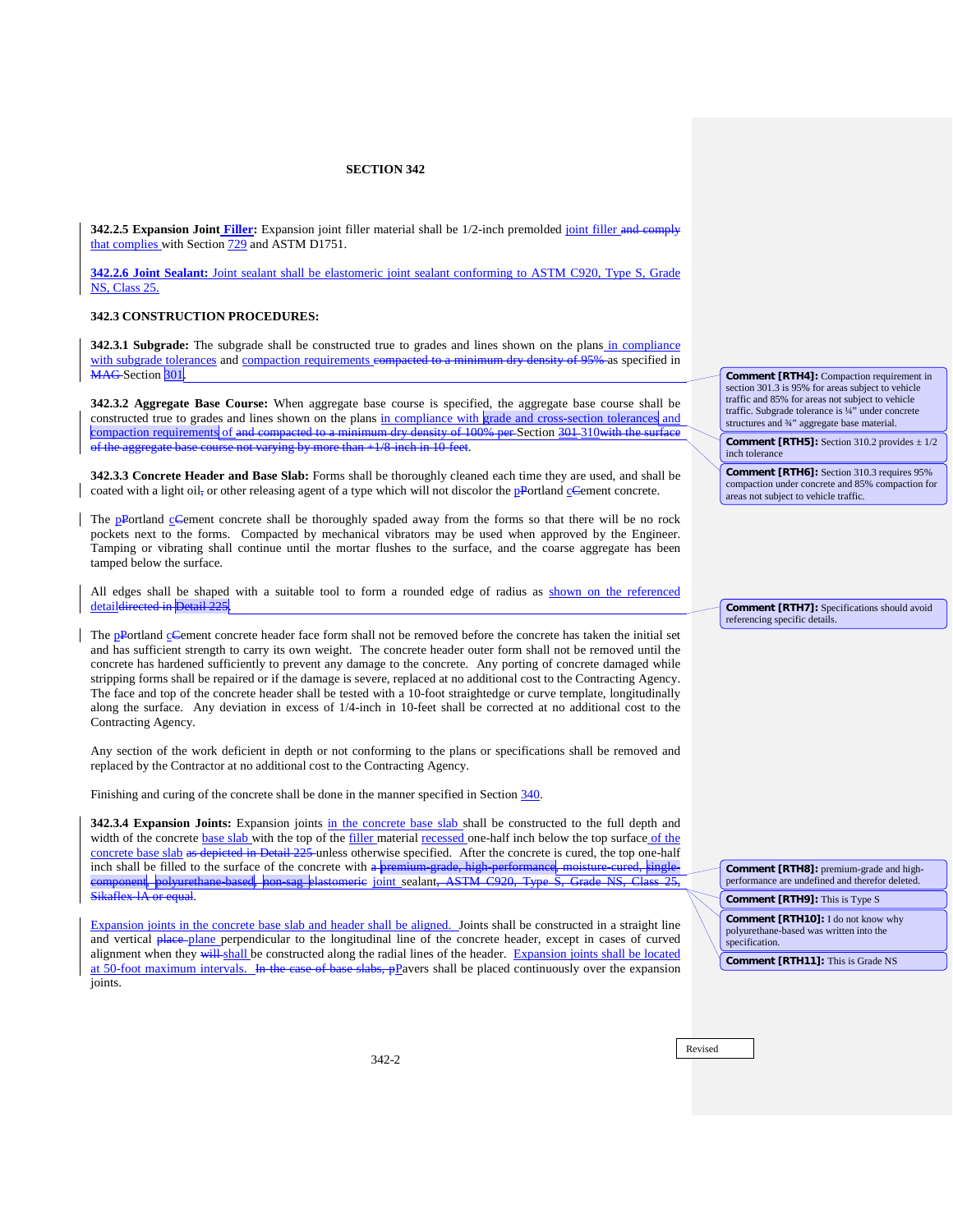**342.2.5 Expansion Joint Filler:** Expansion joint filler material shall be 1/2-inch premolded joint filler and comply that complies with Section 729 and ASTM D1751.

**342.2.6 Joint Sealant:** Joint sealant shall be elastomeric joint sealant conforming to ASTM C920, Type S, Grade NS, Class 25.

### **342.3 CONSTRUCTION PROCEDURES:**

**342.3.1 Subgrade:** The subgrade shall be constructed true to grades and lines shown on the plans in compliance with subgrade tolerances and compaction requirements compacted to a minimum dry density of 95% as specified in MAG-Section 301.

<span id="page-1-0"></span>**342.3.2 Aggregate Base Course:** When aggregate base course is specified, the aggregate base course shall be constructed true to grades and lines shown on the plans in compliance with grade and cross-section tolerances and compaction requirements of and compacted to a minimum dry density of 100% per Section 301-310with the surface of the aggregate base course not varying by more than  $+1/8$  inch in 10-feet.

**342.3.3 Concrete Header and Base Slab:** Forms shall be thoroughly cleaned each time they are used, and shall be coated with a light oil, or other releasing agent of a type which will not discolor the **pPortland cCement** concrete.

The pPortland cCement concrete shall be thoroughly spaded away from the forms so that there will be no rock pockets next to the forms. Compacted by mechanical vibrators may be used when approved by the Engineer. Tamping or vibrating shall continue until the mortar flushes to the surface, and the coarse aggregate has been tamped below the surface.

All edges shall be shaped with a suitable tool to form a rounded edge of radius as shown on the referenced detaildirected in Detail 22

The **pPortland cCement** concrete header face form shall not be removed before the concrete has taken the initial set and has sufficient strength to carry its own weight. The concrete header outer form shall not be removed until the concrete has hardened sufficiently to prevent any damage to the concrete. Any porting of concrete damaged while stripping forms shall be repaired or if the damage is severe, replaced at no additional cost to the Contracting Agency. The face and top of the concrete header shall be tested with a 10-foot straightedge or curve template, longitudinally along the surface. Any deviation in excess of 1/4-inch in 10-feet shall be corrected at no additional cost to the Contracting Agency.

Any section of the work deficient in depth or not conforming to the plans or specifications shall be removed and replaced by the Contractor at no additional cost to the Contracting Agency.

Finishing and curing of the concrete shall be done in the manner specified in Section 340.

**342.3.4 Expansion Joints:** Expansion joints in the concrete base slab shall be constructed to the full depth and width of the concrete base slab with the top of the filler material recessed one-half inch below the top surface of the concrete base slab as depicted in Detail  $225$  unless otherwise specified. After the concrete is cured, the top one-half inch shall be filled to the surface of the concrete with a premium grade, high performance, moisture inch shall be filled to the surface of the concrete with a premium-grade, high-performance, moisture-cured, singlecomponent, polyurethane-based, non-sag elastomeric <u>joint s</u>ealant<del>, ASTM C920,</del><br>Sikaflex IA or couel  $\overline{A}$  or equal.

Expansion joints in the concrete base slab and header shall be aligned. Joints shall be constructed in a straight line and vertical place-plane perpendicular to the longitudinal line of the concrete header, except in cases of curved alignment when they will shall be constructed along the radial lines of the header. Expansion joints shall be located at 50-foot maximum intervals. In the case of base slabs, pPavers shall be placed continuously over the expansion joints.

**Comment [RTH4]:** Compaction requirement in section 301.3 is 95% for areas subject to vehicle traffic and 85% for areas not subject to vehicle traffic. Subgrade tolerance is ¼" under concrete structures and 34" aggregate base material.

**Comment [RTH5]:** Section 310.2 provides  $\pm$  1/2 inch tolerance

**Comment [RTH6]:** Section 310.3 requires 95% compaction under concrete and 85% compaction for areas not subject to vehicle traffic.

**Comment [RTH7]:** Specifications should avoid referencing specific details.

**Comment [RTH8]:** premium-grade and highperformance are undefined and therefor deleted. **Comment [RTH9]:** This is Type S

**Comment [RTH10]:** I do not know why polyurethane-based was written into the specification.

**Comment [RTH11]:** This is Grade NS

Revised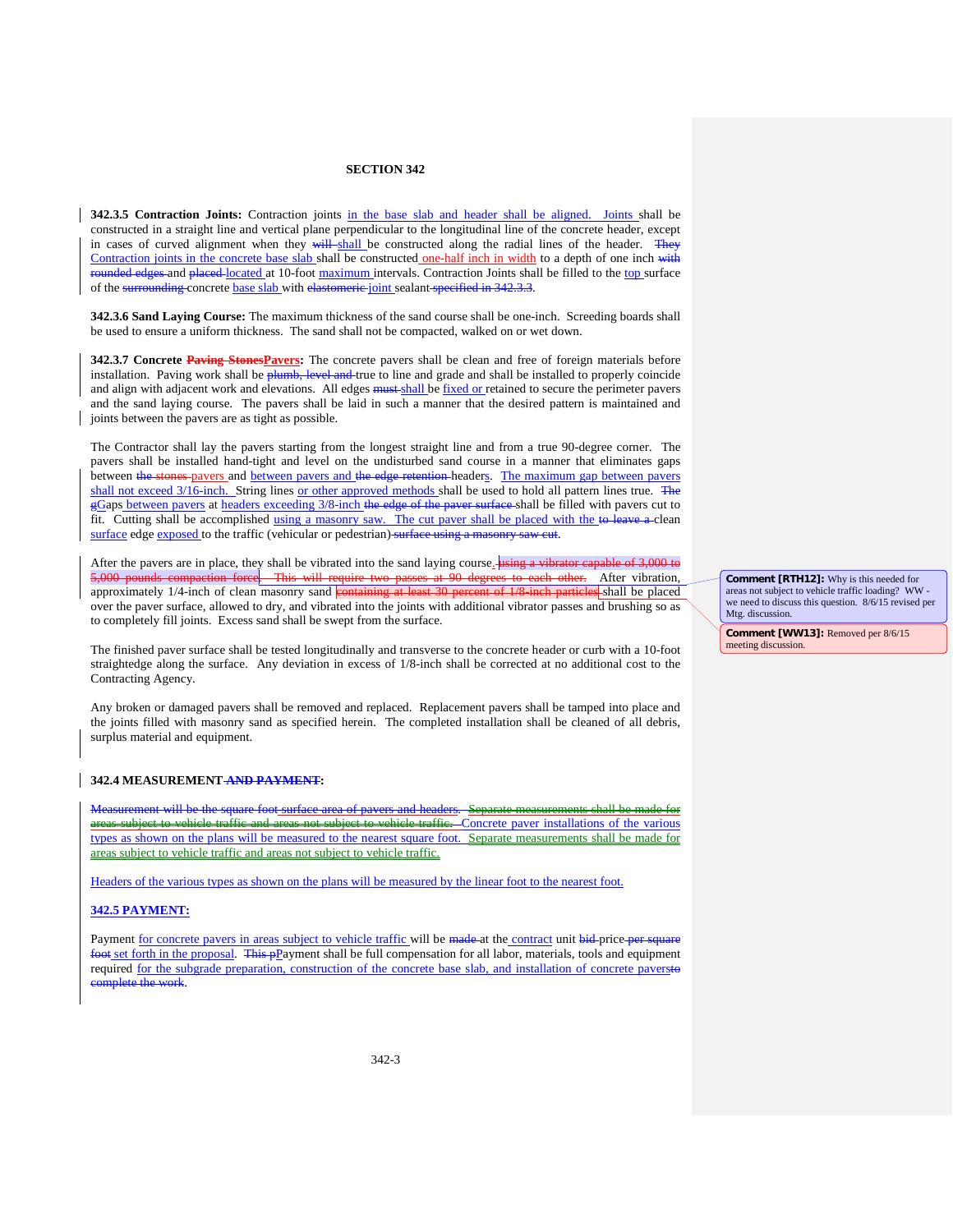**342.3.5 Contraction Joints:** Contraction joints in the base slab and header shall be aligned. Joints shall be constructed in a straight line and vertical plane perpendicular to the longitudinal line of the concrete header, except in cases of curved alignment when they will shall be constructed along the radial lines of the header. They Contraction joints in the concrete base slab shall be constructed one-half inch in width to a depth of one inch with rounded edges and placed located at 10-foot maximum intervals. Contraction Joints shall be filled to the top surface of the surrounding concrete base slab with elastomeric joint sealant specified in 342.3.3.

**342.3.6 Sand Laying Course:** The maximum thickness of the sand course shall be one-inch. Screeding boards shall be used to ensure a uniform thickness. The sand shall not be compacted, walked on or wet down.

**342.3.7 Concrete Paving StonesPavers:** The concrete pavers shall be clean and free of foreign materials before installation. Paving work shall be plumb, level and true to line and grade and shall be installed to properly coincide and align with adjacent work and elevations. All edges **must** shall be fixed or retained to secure the perimeter pavers and the sand laying course. The pavers shall be laid in such a manner that the desired pattern is maintained and joints between the pavers are as tight as possible.

The Contractor shall lay the pavers starting from the longest straight line and from a true 90-degree corner. The pavers shall be installed hand-tight and level on the undisturbed sand course in a manner that eliminates gaps between the stones pavers and between pavers and the edge retention-headers. The maximum gap between pavers shall not exceed 3/16-inch. String lines or other approved methods shall be used to hold all pattern lines true. The gGaps between pavers at headers exceeding 3/8-inch the edge of the paver surface-shall be filled with pavers cut to fit. Cutting shall be accomplished using a masonry saw. The cut paver shall be placed with the to leave a clean surface edge exposed to the traffic (vehicular or pedestrian) surface using a masonry saw cut.

After the pavers are in place, they shall be vibrated into the sand laying course.  $\frac{1}{2}$  using a vibrator capable of 3,000 to force. This will require two passes at 90 degrees to each other. After vibration, approximately 1/4-inch of clean masonry sand containing at least 30 percent of 1/8 inch particles shall be placed over the paver surface, allowed to dry, and vibrated into the joints with additional vibrator passes and brushing so as to completely fill joints. Excess sand shall be swept from the surface.

The finished paver surface shall be tested longitudinally and transverse to the concrete header or curb with a 10-foot straightedge along the surface. Any deviation in excess of 1/8-inch shall be corrected at no additional cost to the Contracting Agency.

Any broken or damaged pavers shall be removed and replaced. Replacement pavers shall be tamped into place and the joints filled with masonry sand as specified herein. The completed installation shall be cleaned of all debris, surplus material and equipment.

#### **342.4 MEASUREMENT AND PAYMENT:**

Measurement will be the square foot surface area of pavers and headers. areas not subject to vehicle traffic. Concrete paver installations of the various types as shown on the plans will be measured to the nearest square foot. Separate measurements shall be made for areas subject to vehicle traffic and areas not subject to vehicle traffic.

Headers of the various types as shown on the plans will be measured by the linear foot to the nearest foot.

#### **342.5 PAYMENT:**

Payment for concrete pavers in areas subject to vehicle traffic will be made at the contract unit bid price per **foot set forth in the proposal. This pPayment shall be full compensation for all labor, materials, tools and equipment** required for the subgrade preparation, construction of the concrete base slab, and installation of concrete paversto complete the work.

**Comment [RTH12]:** Why is this needed for areas not subject to vehicle traffic loading? WW we need to discuss this question. 8/6/15 revised per Mtg. discussion.

**Comment [WW13]:** Removed per 8/6/15 meeting discussion.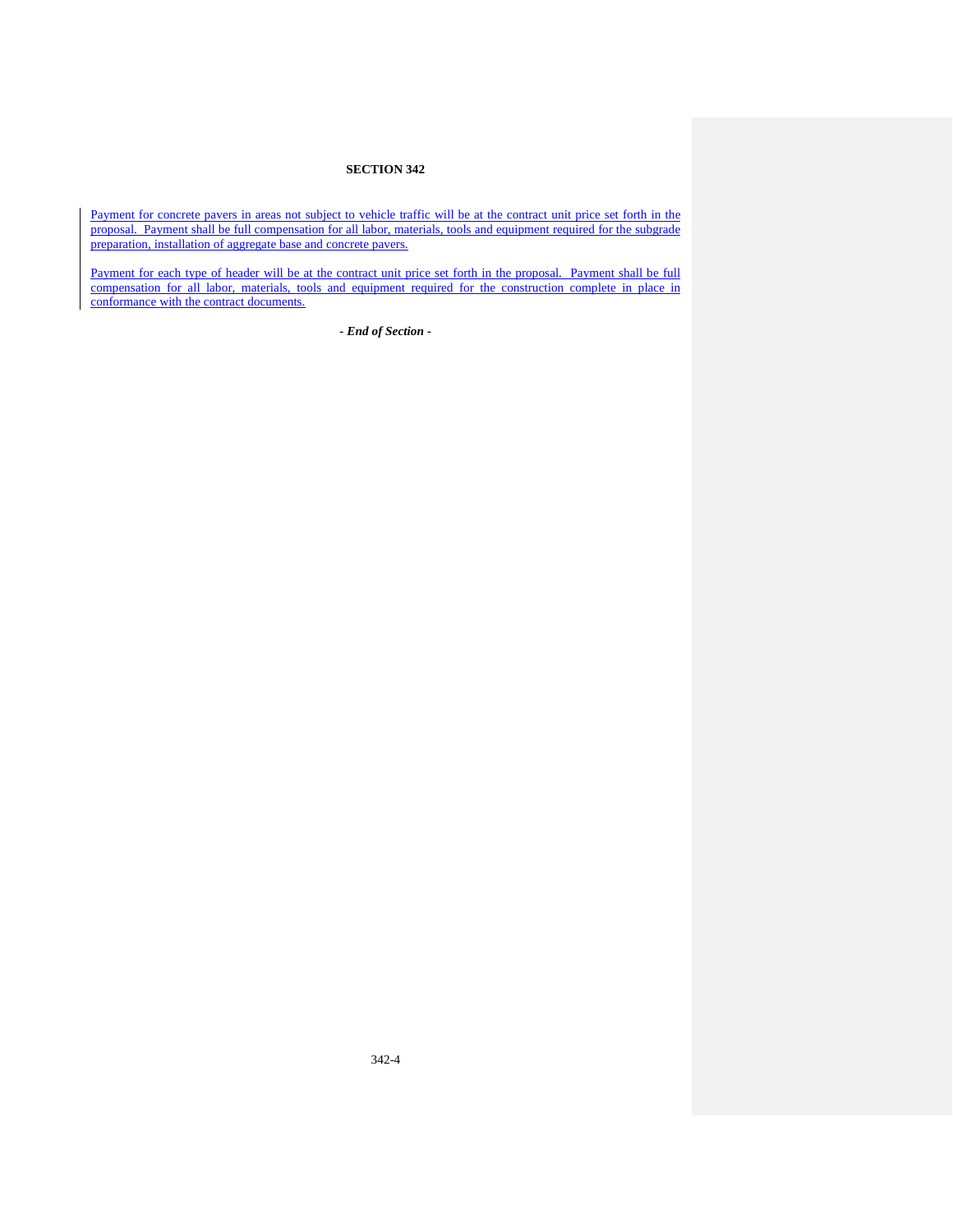Payment for concrete pavers in areas not subject to vehicle traffic will be at the contract unit price set forth in the proposal. Payment shall be full compensation for all labor, materials, tools and equipment required for the subgrade preparation, installation of aggregate base and concrete pavers.

Payment for each type of header will be at the contract unit price set forth in the proposal. Payment shall be full compensation for all labor, materials, tools and equipment required for the construction complete in place in conformance with the contract documents.

*- End of Section -*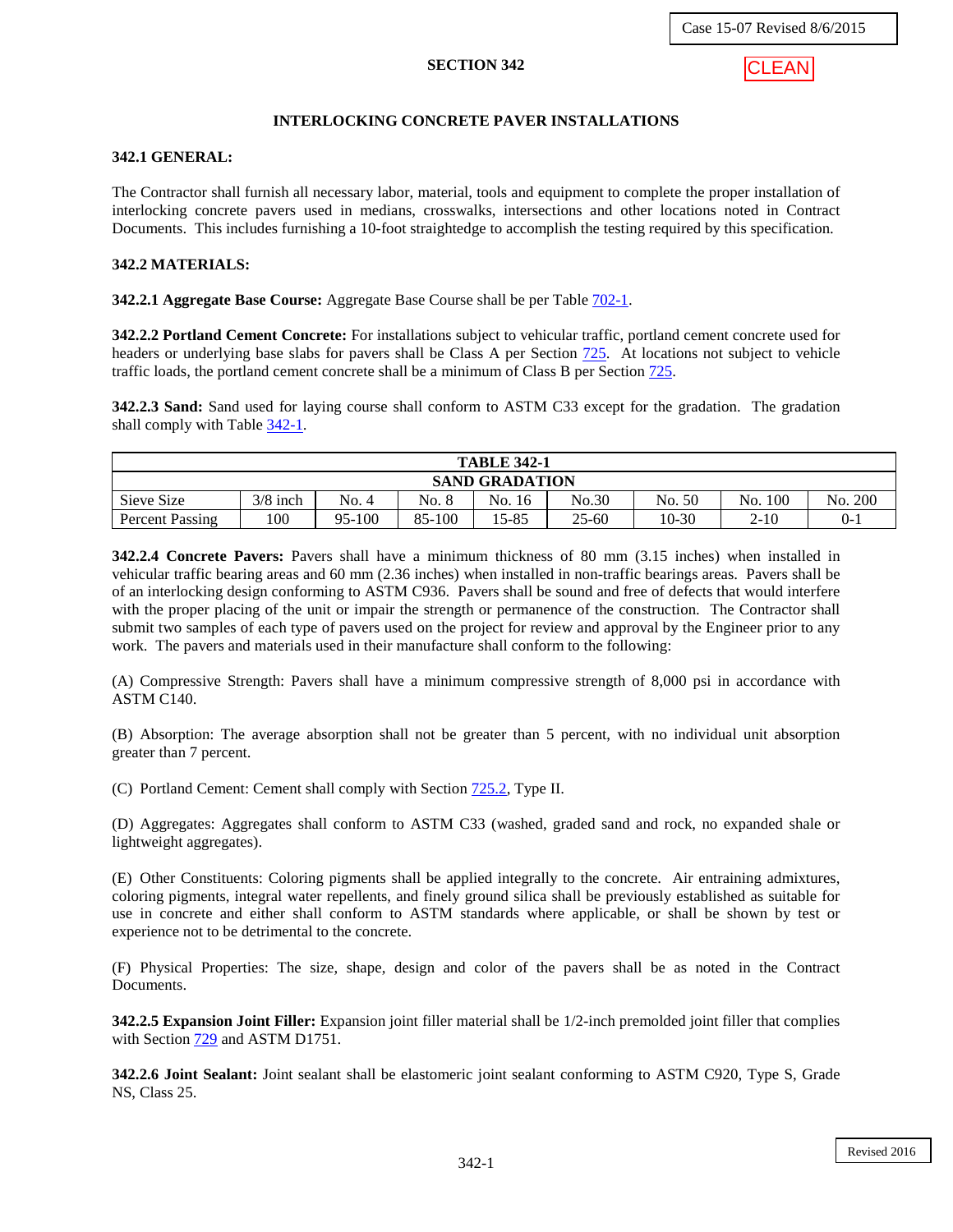

# **INTERLOCKING CONCRETE PAVER INSTALLATIONS**

### **342.1 GENERAL:**

The Contractor shall furnish all necessary labor, material, tools and equipment to complete the proper installation of interlocking concrete pavers used in medians, crosswalks, intersections and other locations noted in Contract Documents. This includes furnishing a 10-foot straightedge to accomplish the testing required by this specification.

### **342.2 MATERIALS:**

**342.2.1 Aggregate Base Course:** Aggregate Base Course shall be per Table 702-1.

**342.2.2 Portland Cement Concrete:** For installations subject to vehicular traffic, portland cement concrete used for headers or underlying base slabs for pavers shall be Class A per Section 725. At locations not subject to vehicle traffic loads, the portland cement concrete shall be a minimum of Class B per Section 725.

**342.2.3 Sand:** Sand used for laying course shall conform to ASTM C33 except for the gradation. The gradation shall comply with Table [342-1.](#page-5-0)

| <b>TABLE 342-1</b>    |            |        |        |        |           |        |          |                   |  |  |  |
|-----------------------|------------|--------|--------|--------|-----------|--------|----------|-------------------|--|--|--|
| <b>SAND GRADATION</b> |            |        |        |        |           |        |          |                   |  |  |  |
| Sieve Size            | $3/8$ inch | No. 4  | No. 8  | No. 16 | No.30     | No. 50 | No. 100  | <b>200</b><br>No. |  |  |  |
| Percent Passing       | 100        | 95-100 | 85-100 | 15-85  | $25 - 60$ | 10-30  | $2 - 10$ | $0-1$             |  |  |  |

**342.2.4 Concrete Pavers:** Pavers shall have a minimum thickness of 80 mm (3.15 inches) when installed in vehicular traffic bearing areas and 60 mm (2.36 inches) when installed in non-traffic bearings areas. Pavers shall be of an interlocking design conforming to ASTM C936. Pavers shall be sound and free of defects that would interfere with the proper placing of the unit or impair the strength or permanence of the construction. The Contractor shall submit two samples of each type of pavers used on the project for review and approval by the Engineer prior to any work. The pavers and materials used in their manufacture shall conform to the following:

(A) Compressive Strength: Pavers shall have a minimum compressive strength of 8,000 psi in accordance with ASTM C140.

(B) Absorption: The average absorption shall not be greater than 5 percent, with no individual unit absorption greater than 7 percent.

(C) Portland Cement: Cement shall comply with Section 725.2, Type II.

(D) Aggregates: Aggregates shall conform to ASTM C33 (washed, graded sand and rock, no expanded shale or lightweight aggregates).

(E) Other Constituents: Coloring pigments shall be applied integrally to the concrete. Air entraining admixtures, coloring pigments, integral water repellents, and finely ground silica shall be previously established as suitable for use in concrete and either shall conform to ASTM standards where applicable, or shall be shown by test or experience not to be detrimental to the concrete.

(F) Physical Properties: The size, shape, design and color of the pavers shall be as noted in the Contract Documents.

**342.2.5 Expansion Joint Filler:** Expansion joint filler material shall be 1/2-inch premolded joint filler that complies with Section 729 and ASTM D1751.

**342.2.6 Joint Sealant:** Joint sealant shall be elastomeric joint sealant conforming to ASTM C920, Type S, Grade NS, Class 25.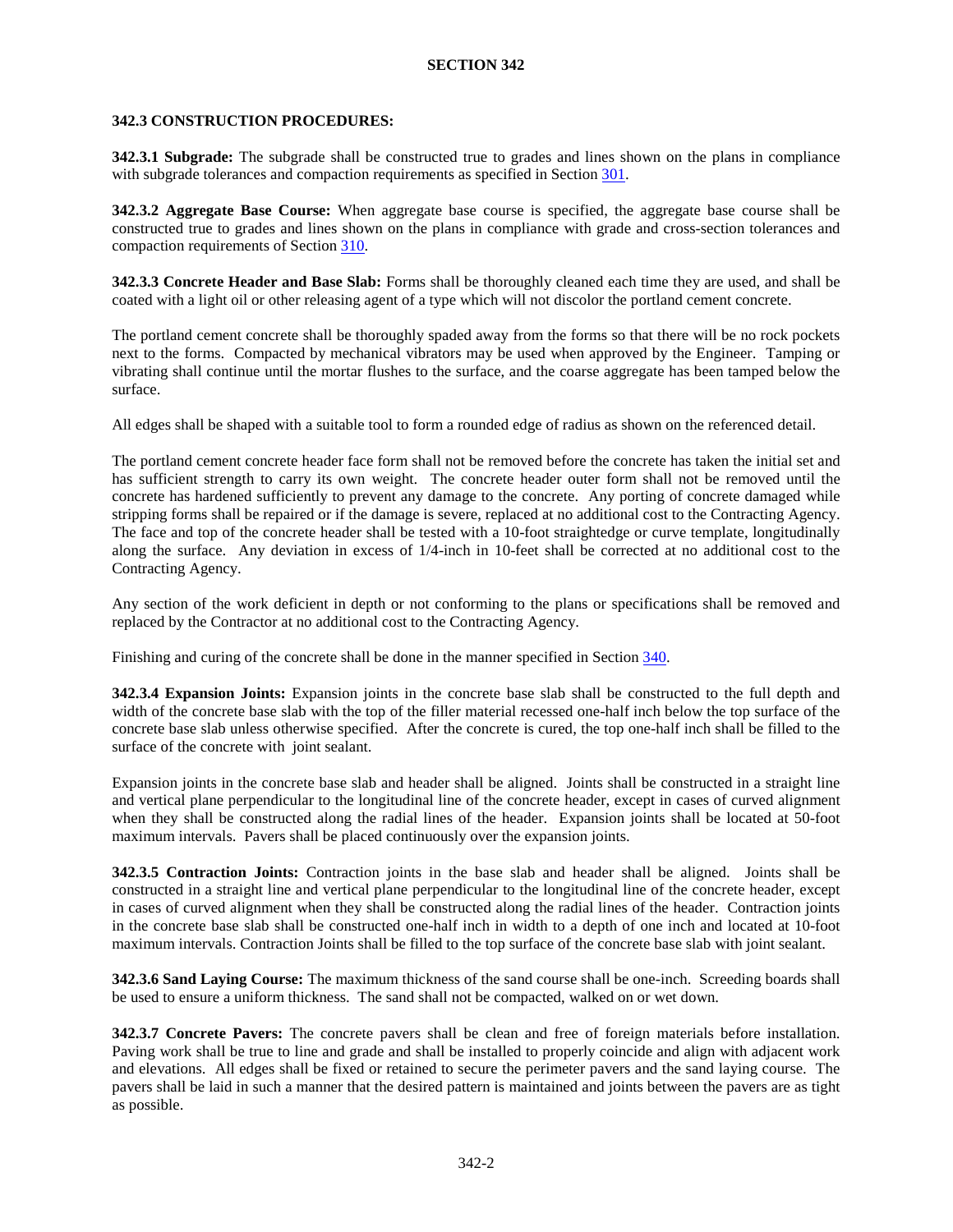## **342.3 CONSTRUCTION PROCEDURES:**

**342.3.1 Subgrade:** The subgrade shall be constructed true to grades and lines shown on the plans in compliance with subgrade tolerances and compaction requirements as specified in Section 301.

<span id="page-5-0"></span>**342.3.2 Aggregate Base Course:** When aggregate base course is specified, the aggregate base course shall be constructed true to grades and lines shown on the plans in compliance with grade and cross-section tolerances and compaction requirements of Section 310.

**342.3.3 Concrete Header and Base Slab:** Forms shall be thoroughly cleaned each time they are used, and shall be coated with a light oil or other releasing agent of a type which will not discolor the portland cement concrete.

The portland cement concrete shall be thoroughly spaded away from the forms so that there will be no rock pockets next to the forms. Compacted by mechanical vibrators may be used when approved by the Engineer. Tamping or vibrating shall continue until the mortar flushes to the surface, and the coarse aggregate has been tamped below the surface.

All edges shall be shaped with a suitable tool to form a rounded edge of radius as shown on the referenced detail.

The portland cement concrete header face form shall not be removed before the concrete has taken the initial set and has sufficient strength to carry its own weight. The concrete header outer form shall not be removed until the concrete has hardened sufficiently to prevent any damage to the concrete. Any porting of concrete damaged while stripping forms shall be repaired or if the damage is severe, replaced at no additional cost to the Contracting Agency. The face and top of the concrete header shall be tested with a 10-foot straightedge or curve template, longitudinally along the surface. Any deviation in excess of 1/4-inch in 10-feet shall be corrected at no additional cost to the Contracting Agency.

Any section of the work deficient in depth or not conforming to the plans or specifications shall be removed and replaced by the Contractor at no additional cost to the Contracting Agency.

Finishing and curing of the concrete shall be done in the manner specified in Section 340.

**342.3.4 Expansion Joints:** Expansion joints in the concrete base slab shall be constructed to the full depth and width of the concrete base slab with the top of the filler material recessed one-half inch below the top surface of the concrete base slab unless otherwise specified. After the concrete is cured, the top one-half inch shall be filled to the surface of the concrete with joint sealant.

Expansion joints in the concrete base slab and header shall be aligned. Joints shall be constructed in a straight line and vertical plane perpendicular to the longitudinal line of the concrete header, except in cases of curved alignment when they shall be constructed along the radial lines of the header. Expansion joints shall be located at 50-foot maximum intervals. Pavers shall be placed continuously over the expansion joints.

**342.3.5 Contraction Joints:** Contraction joints in the base slab and header shall be aligned. Joints shall be constructed in a straight line and vertical plane perpendicular to the longitudinal line of the concrete header, except in cases of curved alignment when they shall be constructed along the radial lines of the header. Contraction joints in the concrete base slab shall be constructed one-half inch in width to a depth of one inch and located at 10-foot maximum intervals. Contraction Joints shall be filled to the top surface of the concrete base slab with joint sealant.

**342.3.6 Sand Laying Course:** The maximum thickness of the sand course shall be one-inch. Screeding boards shall be used to ensure a uniform thickness. The sand shall not be compacted, walked on or wet down.

**342.3.7 Concrete Pavers:** The concrete pavers shall be clean and free of foreign materials before installation. Paving work shall be true to line and grade and shall be installed to properly coincide and align with adjacent work and elevations. All edges shall be fixed or retained to secure the perimeter pavers and the sand laying course. The pavers shall be laid in such a manner that the desired pattern is maintained and joints between the pavers are as tight as possible.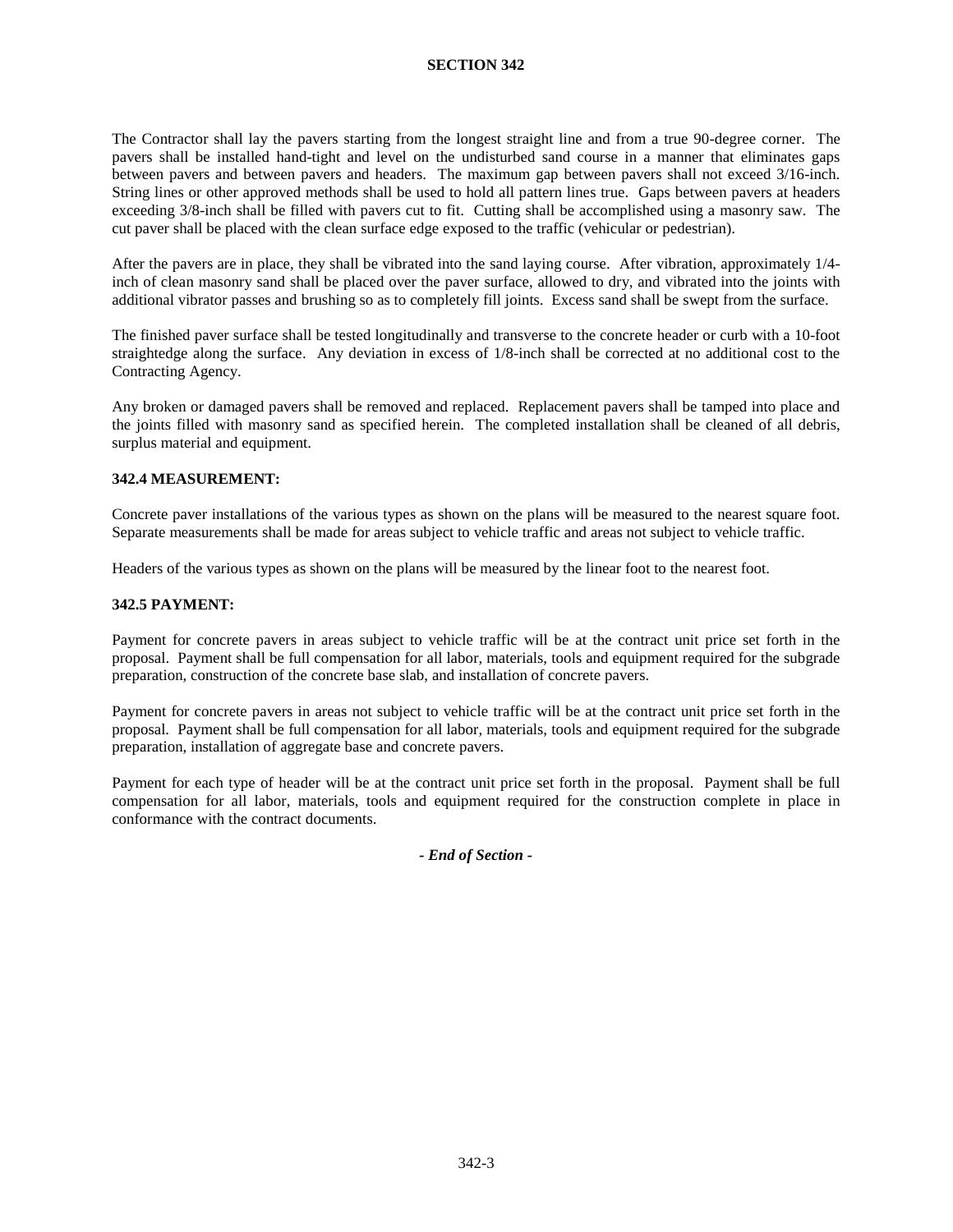The Contractor shall lay the pavers starting from the longest straight line and from a true 90-degree corner. The pavers shall be installed hand-tight and level on the undisturbed sand course in a manner that eliminates gaps between pavers and between pavers and headers. The maximum gap between pavers shall not exceed 3/16-inch. String lines or other approved methods shall be used to hold all pattern lines true. Gaps between pavers at headers exceeding 3/8-inch shall be filled with pavers cut to fit. Cutting shall be accomplished using a masonry saw. The cut paver shall be placed with the clean surface edge exposed to the traffic (vehicular or pedestrian).

After the pavers are in place, they shall be vibrated into the sand laying course. After vibration, approximately 1/4 inch of clean masonry sand shall be placed over the paver surface, allowed to dry, and vibrated into the joints with additional vibrator passes and brushing so as to completely fill joints. Excess sand shall be swept from the surface.

The finished paver surface shall be tested longitudinally and transverse to the concrete header or curb with a 10-foot straightedge along the surface. Any deviation in excess of 1/8-inch shall be corrected at no additional cost to the Contracting Agency.

Any broken or damaged pavers shall be removed and replaced. Replacement pavers shall be tamped into place and the joints filled with masonry sand as specified herein. The completed installation shall be cleaned of all debris, surplus material and equipment.

## **342.4 MEASUREMENT:**

Concrete paver installations of the various types as shown on the plans will be measured to the nearest square foot. Separate measurements shall be made for areas subject to vehicle traffic and areas not subject to vehicle traffic.

Headers of the various types as shown on the plans will be measured by the linear foot to the nearest foot.

## **342.5 PAYMENT:**

Payment for concrete pavers in areas subject to vehicle traffic will be at the contract unit price set forth in the proposal. Payment shall be full compensation for all labor, materials, tools and equipment required for the subgrade preparation, construction of the concrete base slab, and installation of concrete pavers.

Payment for concrete pavers in areas not subject to vehicle traffic will be at the contract unit price set forth in the proposal. Payment shall be full compensation for all labor, materials, tools and equipment required for the subgrade preparation, installation of aggregate base and concrete pavers.

Payment for each type of header will be at the contract unit price set forth in the proposal. Payment shall be full compensation for all labor, materials, tools and equipment required for the construction complete in place in conformance with the contract documents.

*- End of Section -*